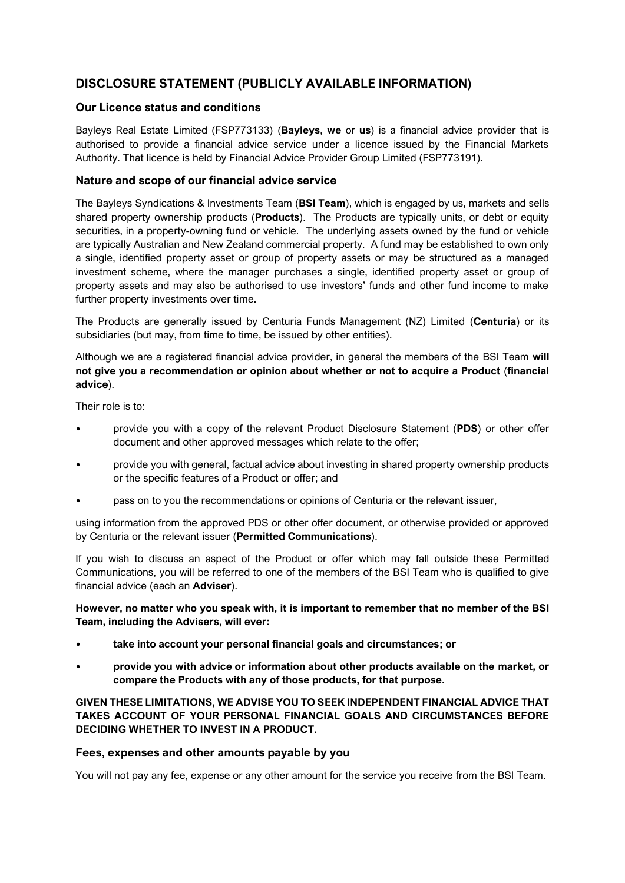# **DISCLOSURE STATEMENT (PUBLICLY AVAILABLE INFORMATION)**

## **Our Licence status and conditions**

Bayleys Real Estate Limited (FSP773133) (**Bayleys**, **we** or **us**) is a financial advice provider that is authorised to provide a financial advice service under a licence issued by the Financial Markets Authority. That licence is held by Financial Advice Provider Group Limited (FSP773191).

### **Nature and scope of our financial advice service**

The Bayleys Syndications & Investments Team (**BSI Team**), which is engaged by us, markets and sells shared property ownership products (**Products**). The Products are typically units, or debt or equity securities, in a property-owning fund or vehicle. The underlying assets owned by the fund or vehicle are typically Australian and New Zealand commercial property. A fund may be established to own only a single, identified property asset or group of property assets or may be structured as a managed investment scheme, where the manager purchases a single, identified property asset or group of property assets and may also be authorised to use investors' funds and other fund income to make further property investments over time.

The Products are generally issued by Centuria Funds Management (NZ) Limited (**Centuria**) or its subsidiaries (but may, from time to time, be issued by other entities).

Although we are a registered financial advice provider, in general the members of the BSI Team **will not give you a recommendation or opinion about whether or not to acquire a Product** (**financial advice**).

Their role is to:

- provide you with a copy of the relevant Product Disclosure Statement (**PDS**) or other offer document and other approved messages which relate to the offer;
- provide you with general, factual advice about investing in shared property ownership products or the specific features of a Product or offer; and
- pass on to you the recommendations or opinions of Centuria or the relevant issuer,

using information from the approved PDS or other offer document, or otherwise provided or approved by Centuria or the relevant issuer (**Permitted Communications**).

If you wish to discuss an aspect of the Product or offer which may fall outside these Permitted Communications, you will be referred to one of the members of the BSI Team who is qualified to give financial advice (each an **Adviser**).

#### **However, no matter who you speak with, it is important to remember that no member of the BSI Team, including the Advisers, will ever:**

- **take into account your personal financial goals and circumstances; or**
- **provide you with advice or information about other products available on the market, or compare the Products with any of those products, for that purpose.**

**GIVEN THESE LIMITATIONS, WE ADVISE YOU TO SEEK INDEPENDENT FINANCIAL ADVICE THAT TAKES ACCOUNT OF YOUR PERSONAL FINANCIAL GOALS AND CIRCUMSTANCES BEFORE DECIDING WHETHER TO INVEST IN A PRODUCT.**

#### **Fees, expenses and other amounts payable by you**

You will not pay any fee, expense or any other amount for the service you receive from the BSI Team.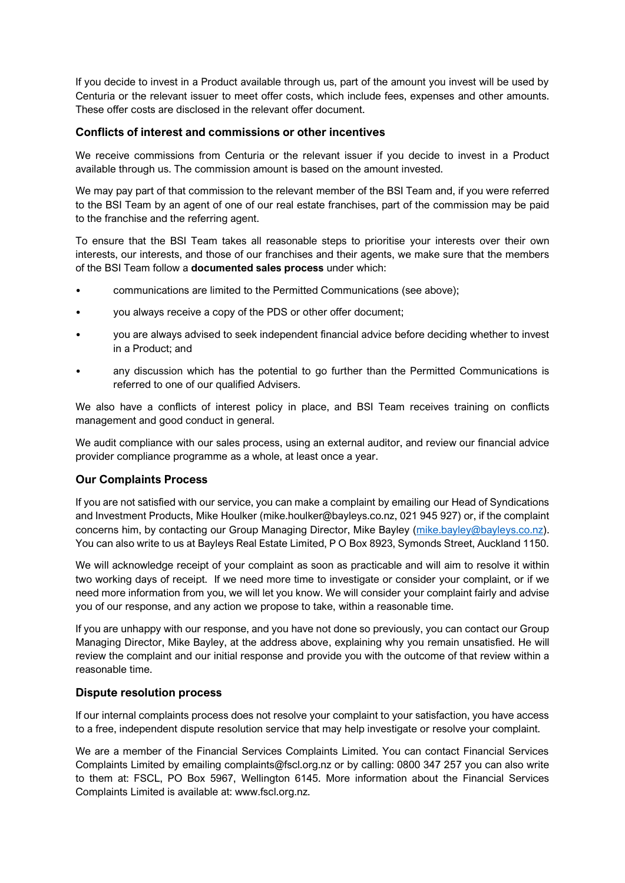If you decide to invest in a Product available through us, part of the amount you invest will be used by Centuria or the relevant issuer to meet offer costs, which include fees, expenses and other amounts. These offer costs are disclosed in the relevant offer document.

#### **Conflicts of interest and commissions or other incentives**

We receive commissions from Centuria or the relevant issuer if you decide to invest in a Product available through us. The commission amount is based on the amount invested.

We may pay part of that commission to the relevant member of the BSI Team and, if you were referred to the BSI Team by an agent of one of our real estate franchises, part of the commission may be paid to the franchise and the referring agent.

To ensure that the BSI Team takes all reasonable steps to prioritise your interests over their own interests, our interests, and those of our franchises and their agents, we make sure that the members of the BSI Team follow a **documented sales process** under which:

- communications are limited to the Permitted Communications (see above);
- you always receive a copy of the PDS or other offer document;
- you are always advised to seek independent financial advice before deciding whether to invest in a Product; and
- any discussion which has the potential to go further than the Permitted Communications is referred to one of our qualified Advisers.

We also have a conflicts of interest policy in place, and BSI Team receives training on conflicts management and good conduct in general.

We audit compliance with our sales process, using an external auditor, and review our financial advice provider compliance programme as a whole, at least once a year.

## **Our Complaints Process**

If you are not satisfied with our service, you can make a complaint by emailing our Head of Syndications and Investment Products, Mike Houlker [\(mike.houlker@bayleys.co.nz,](mailto:mike.houlker@bayleys.co.nz) 021 945 927) or, if the complaint concerns him, by contacting our Group Managing Director, Mike Bayley [\(mike.bayley@bayleys.co.nz\)](mailto:mike.bayley@bayleys.co.nz). You can also write to us at Bayleys Real Estate Limited, P O Box 8923, Symonds Street, Auckland 1150.

We will acknowledge receipt of your complaint as soon as practicable and will aim to resolve it within two working days of receipt. If we need more time to investigate or consider your complaint, or if we need more information from you, we will let you know. We will consider your complaint fairly and advise you of our response, and any action we propose to take, within a reasonable time.

If you are unhappy with our response, and you have not done so previously, you can contact our Group Managing Director, Mike Bayley, at the address above, explaining why you remain unsatisfied. He will review the complaint and our initial response and provide you with the outcome of that review within a reasonable time.

## **Dispute resolution process**

If our internal complaints process does not resolve your complaint to your satisfaction, you have access to a free, independent dispute resolution service that may help investigate or resolve your complaint.

We are a member of the Financial Services Complaints Limited. You can contact Financial Services Complaints Limited by emailing complaints@fscl.org.nz or by calling: 0800 347 257 you can also write to them at: FSCL, PO Box 5967, Wellington 6145. More information about the Financial Services Complaints Limited is available at: www.fscl.org.nz.